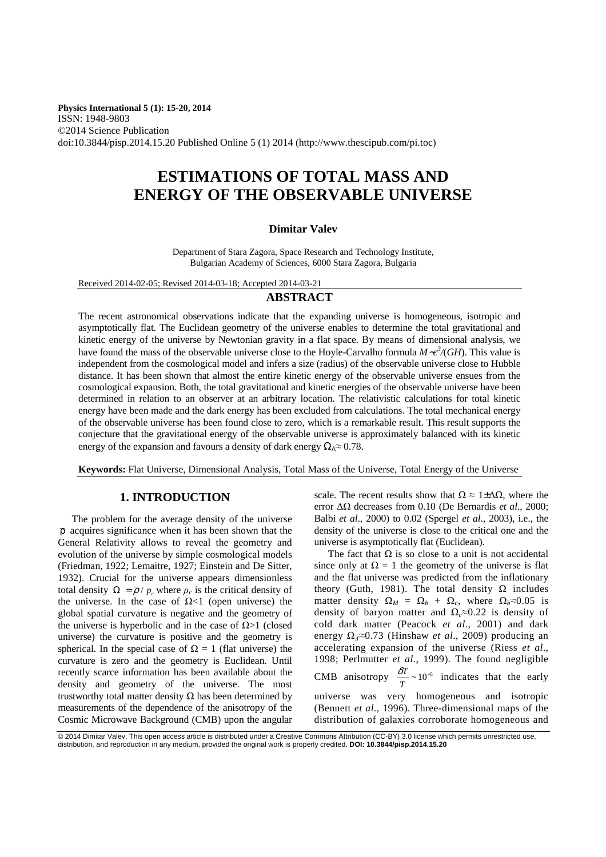**Physics International 5 (1): 15-20, 2014** ISSN: 1948-9803 ©2014 Science Publication doi:10.3844/pisp.2014.15.20 Published Online 5 (1) 2014 (http://www.thescipub.com/pi.toc)

# **ESTIMATIONS OF TOTAL MASS AND ENERGY OF THE OBSERVABLE UNIVERSE**

### **Dimitar Valev**

Department of Stara Zagora, Space Research and Technology Institute, Bulgarian Academy of Sciences, 6000 Stara Zagora, Bulgaria

Received 2014-02-05; Revised 2014-03-18; Accepted 2014-03-21

# **ABSTRACT**

The recent astronomical observations indicate that the expanding universe is homogeneous, isotropic and asymptotically flat. The Euclidean geometry of the universe enables to determine the total gravitational and kinetic energy of the universe by Newtonian gravity in a flat space. By means of dimensional analysis, we have found the mass of the observable universe close to the Hoyle-Carvalho formula *M*∼*c 3 /*(*GH*). This value is independent from the cosmological model and infers a size (radius) of the observable universe close to Hubble distance. It has been shown that almost the entire kinetic energy of the observable universe ensues from the cosmological expansion. Both, the total gravitational and kinetic energies of the observable universe have been determined in relation to an observer at an arbitrary location. The relativistic calculations for total kinetic energy have been made and the dark energy has been excluded from calculations. The total mechanical energy of the observable universe has been found close to zero, which is a remarkable result. This result supports the conjecture that the gravitational energy of the observable universe is approximately balanced with its kinetic energy of the expansion and favours a density of dark energy  $\Omega$ <sub>Λ</sub>≈ 0.78.

**Keywords:** Flat Universe, Dimensional Analysis, Total Mass of the Universe, Total Energy of the Universe

# **1. INTRODUCTION**

The problem for the average density of the universe  $\bar{p}$  acquires significance when it has been shown that the General Relativity allows to reveal the geometry and evolution of the universe by simple cosmological models (Friedman, 1922; Lemaitre, 1927; Einstein and De Sitter, 1932). Crucial for the universe appears dimensionless total density  $\Omega = \overline{\rho}/p_c$  where  $\rho_c$  is the critical density of the universe. In the case of  $\Omega$ <1 (open universe) the global spatial curvature is negative and the geometry of the universe is hyperbolic and in the case of  $Ω>1$  (closed universe) the curvature is positive and the geometry is spherical. In the special case of  $\Omega = 1$  (flat universe) the curvature is zero and the geometry is Euclidean. Until recently scarce information has been available about the density and geometry of the universe. The most trustworthy total matter density  $Ω$  has been determined by measurements of the dependence of the anisotropy of the Cosmic Microwave Background (CMB) upon the angular

scale. The recent results show that  $\Omega \approx 1 \pm \Delta \Omega$ , where the error ∆Ω decreases from 0.10 (De Bernardis *et al*., 2000; Balbi *et al*., 2000) to 0.02 (Spergel *et al*., 2003), i.e., the density of the universe is close to the critical one and the universe is asymptotically flat (Euclidean).

The fact that  $\Omega$  is so close to a unit is not accidental since only at  $\Omega = 1$  the geometry of the universe is flat and the flat universe was predicted from the inflationary theory (Guth, 1981). The total density  $\Omega$  includes matter density  $\Omega_M = \Omega_b + \Omega_c$ , where  $\Omega_b \approx 0.05$  is density of baryon matter and  $\Omega_c \approx 0.22$  is density of cold dark matter (Peacock *et al*., 2001) and dark energy Ω*Λ*≈0.73 (Hinshaw *et al*., 2009) producing an accelerating expansion of the universe (Riess *et al*., 1998; Perlmutter *et al*., 1999). The found negligible CMB anisotropy  $\frac{\delta T}{T} \sim 10^{-5}$  $\frac{\delta T}{T} \sim 10^{-5}$  indicates that the early universe was very homogeneous and isotropic (Bennett *et al*., 1996). Three-dimensional maps of the distribution of galaxies corroborate homogeneous and

<sup>© 2014</sup> Dimitar Valev. This open access article is distributed under a Creative Commons Attribution (CC-BY) 3.0 license which permits unrestricted use, distribution, and reproduction in any medium, provided the original work is properly credited. **DOI: 10.3844/pisp.2014.15.20**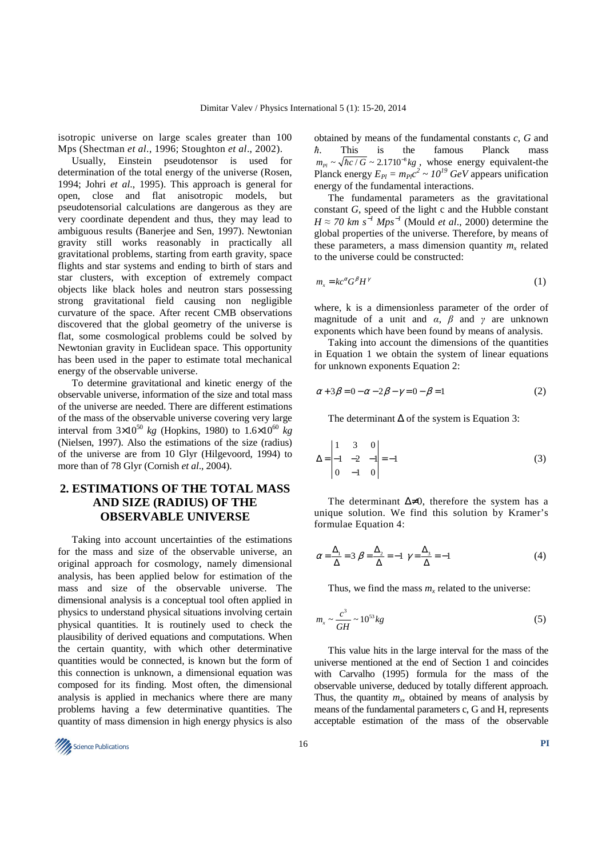isotropic universe on large scales greater than 100 Mps (Shectman *et al*., 1996; Stoughton *et al*., 2002).

Usually, Einstein pseudotensor is used for determination of the total energy of the universe (Rosen, 1994; Johri *et al*., 1995). This approach is general for open, close and flat anisotropic models, but pseudotensorial calculations are dangerous as they are very coordinate dependent and thus, they may lead to ambiguous results (Banerjee and Sen, 1997). Newtonian gravity still works reasonably in practically all gravitational problems, starting from earth gravity, space flights and star systems and ending to birth of stars and star clusters, with exception of extremely compact objects like black holes and neutron stars possessing strong gravitational field causing non negligible curvature of the space. After recent CMB observations discovered that the global geometry of the universe is flat, some cosmological problems could be solved by Newtonian gravity in Euclidean space. This opportunity has been used in the paper to estimate total mechanical energy of the observable universe.

To determine gravitational and kinetic energy of the observable universe, information of the size and total mass of the universe are needed. There are different estimations of the mass of the observable universe covering very large interval from  $3 \times 10^{50}$  *kg* (Hopkins, 1980) to  $1.6 \times 10^{60}$  *kg* (Nielsen, 1997). Also the estimations of the size (radius) of the universe are from 10 Glyr (Hilgevoord, 1994) to more than of 78 Glyr (Cornish *et al*., 2004).

# **2. ESTIMATIONS OF THE TOTAL MASS AND SIZE (RADIUS) OF THE OBSERVABLE UNIVERSE**

Taking into account uncertainties of the estimations for the mass and size of the observable universe, an original approach for cosmology, namely dimensional analysis, has been applied below for estimation of the mass and size of the observable universe. The dimensional analysis is a conceptual tool often applied in physics to understand physical situations involving certain physical quantities. It is routinely used to check the plausibility of derived equations and computations. When the certain quantity, with which other determinative quantities would be connected, is known but the form of this connection is unknown, a dimensional equation was composed for its finding. Most often, the dimensional analysis is applied in mechanics where there are many problems having a few determinative quantities. The quantity of mass dimension in high energy physics is also

obtained by means of the fundamental constants *c*, *G* and *ħ*. This is the famous Planck mass  $m_{Pl} \sim \sqrt{\hbar c / G} \sim 2.1710^{-8} kg$ , whose energy equivalent-the Planck energy  $E_{Pl} = m_{Pl}c^2 \sim 10^{19} \text{ GeV}$  appears unification energy of the fundamental interactions.

The fundamental parameters as the gravitational constant *G*, speed of the light c and the Hubble constant  $H \approx 70$  km s<sup>−1</sup> Mps<sup>−1</sup> (Mould *et al.*, 2000) determine the global properties of the universe. Therefore, by means of these parameters, a mass dimension quantity  $m<sub>x</sub>$  related to the universe could be constructed:

$$
m_x = kc^\alpha G^\beta H^\gamma \tag{1}
$$

where, k is a dimensionless parameter of the order of magnitude of a unit and  $\alpha$ ,  $\beta$  and  $\gamma$  are unknown exponents which have been found by means of analysis.

Taking into account the dimensions of the quantities in Equation 1 we obtain the system of linear equations for unknown exponents Equation 2:

$$
\alpha + 3\beta = 0 - \alpha - 2\beta - \gamma = 0 - \beta = 1 \tag{2}
$$

The determinant  $\Delta$  of the system is Equation 3:

$$
\Delta = \begin{vmatrix} 1 & 3 & 0 \\ -1 & -2 & -1 \\ 0 & -1 & 0 \end{vmatrix} = -1
$$
 (3)

The determinant  $\Delta \neq 0$ , therefore the system has a unique solution. We find this solution by Kramer's formulae Equation 4:

$$
\alpha = \frac{\Delta_1}{\Delta} = 3 \beta = \frac{\Delta_2}{\Delta} = -1 \gamma = \frac{\Delta_3}{\Delta} = -1 \tag{4}
$$

Thus, we find the mass  $m<sub>x</sub>$  related to the universe:

$$
m_x \sim \frac{c^3}{GH} \sim 10^{53} kg \tag{5}
$$

This value hits in the large interval for the mass of the universe mentioned at the end of Section 1 and coincides with Carvalho (1995) formula for the mass of the observable universe, deduced by totally different approach. Thus, the quantity  $m_x$ , obtained by means of analysis by means of the fundamental parameters c, G and H, represents acceptable estimation of the mass of the observable

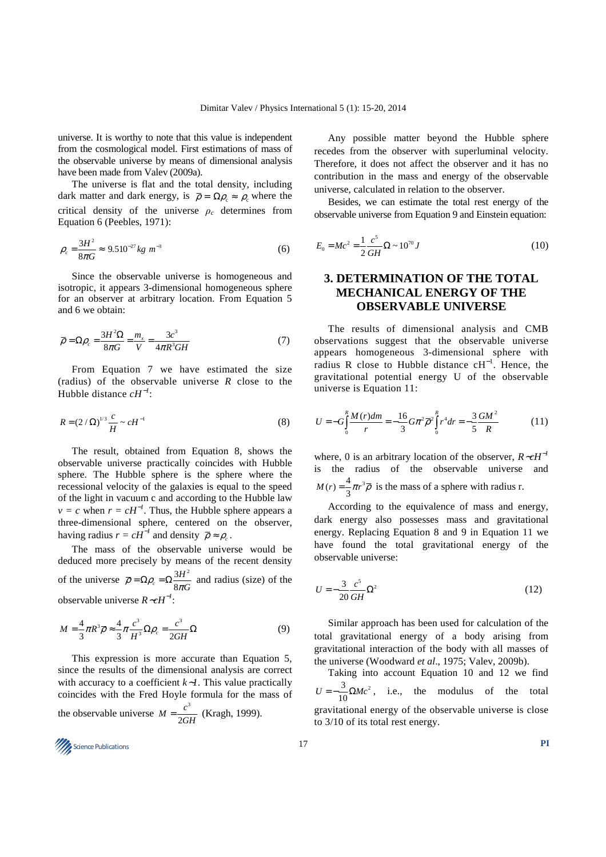universe. It is worthy to note that this value is independent from the cosmological model. First estimations of mass of the observable universe by means of dimensional analysis have been made from Valev (2009a).

The universe is flat and the total density, including dark matter and dark energy, is  $\bar{\rho} = \Omega \rho \approx \rho_c$  where the critical density of the universe  $\rho_c$  determines from Equation 6 (Peebles, 1971):

$$
\rho_c = \frac{3H^2}{8\pi G} \approx 9.510^{-27} kg m^{-3}
$$
 (6)

Since the observable universe is homogeneous and isotropic, it appears 3-dimensional homogeneous sphere for an observer at arbitrary location. From Equation 5 and 6 we obtain:

$$
\overline{\rho} = \Omega \rho_c = \frac{3H^2 \Omega}{8\pi G} = \frac{m_x}{V} = \frac{3c^3}{4\pi R^3 GH}
$$
(7)

From Equation 7 we have estimated the size (radius) of the observable universe *R* close to the Hubble distance *cH*−*<sup>1</sup>* :

$$
R = (2/\Omega)^{1/3} \frac{c}{H} \sim cH^{-1}
$$
 (8)

The result, obtained from Equation 8, shows the observable universe practically coincides with Hubble sphere. The Hubble sphere is the sphere where the recessional velocity of the galaxies is equal to the speed of the light in vacuum c and according to the Hubble law  $v = c$  when  $r = cH^{-1}$ . Thus, the Hubble sphere appears a three-dimensional sphere, centered on the observer, having radius  $r = cH^{-1}$  and density  $\bar{\rho} \approx \rho_c$ .

The mass of the observable universe would be deduced more precisely by means of the recent density of the universe  $\overline{\rho} = \Omega \rho_c = \Omega \frac{3H^2}{2}$  $c_c = \Omega \frac{3H}{8\pi G}$  $\overline{\rho} = \Omega \rho_c = \Omega \frac{3H}{8\pi G}$  and radius (size) of the observable universe *R*∼*cH*−*<sup>1</sup>* :

$$
M = \frac{4}{3}\pi R^3 \overline{\rho} \approx \frac{4}{3}\pi \frac{c^3}{H^3} \Omega \rho_c = \frac{c^3}{2GH} \Omega \tag{9}
$$

This expression is more accurate than Equation 5, since the results of the dimensional analysis are correct with accuracy to a coefficient *k*∼*1*. This value practically coincides with the Fred Hoyle formula for the mass of the observable universe  $M = \frac{c^3}{2\pi}$ 2  $M = \frac{c^3}{2GH}$  (Kragh, 1999).

**17** Science Publications **PI PI** 

Any possible matter beyond the Hubble sphere recedes from the observer with superluminal velocity. Therefore, it does not affect the observer and it has no contribution in the mass and energy of the observable universe, calculated in relation to the observer.

Besides, we can estimate the total rest energy of the observable universe from Equation 9 and Einstein equation:

$$
E_0 = Mc^2 = \frac{1}{2} \frac{c^5}{GH} \Omega \sim 10^{70} J \tag{10}
$$

# **3. DETERMINATION OF THE TOTAL MECHANICAL ENERGY OF THE OBSERVABLE UNIVERSE**

The results of dimensional analysis and CMB observations suggest that the observable universe appears homogeneous 3-dimensional sphere with radius R close to Hubble distance  $cH^{-1}$ . Hence, the gravitational potential energy U of the observable universe is Equation 11:

$$
U = -G \int_{0}^{R} \frac{M(r)dm}{r} = -\frac{16}{3} G \pi^{2} \overline{\rho}^{2} \int_{0}^{R} r^{4} dr = -\frac{3}{5} \frac{GM^{2}}{R}
$$
 (11)

where, 0 is an arbitrary location of the observer, *R*∼*cH*−*<sup>1</sup>* is the radius of the observable universe and  $M(r) = \frac{4}{3}\pi r^3 \overline{\rho}$  is the mass of a sphere with radius r.

According to the equivalence of mass and energy, dark energy also possesses mass and gravitational energy. Replacing Equation 8 and 9 in Equation 11 we have found the total gravitational energy of the observable universe:

$$
U = -\frac{3}{20} \frac{c^5}{GH} \Omega^2 \tag{12}
$$

Similar approach has been used for calculation of the total gravitational energy of a body arising from gravitational interaction of the body with all masses of the universe (Woodward *et al*., 1975; Valev, 2009b).

Taking into account Equation 10 and 12 we find  $^{3}$   $\Omega$ *M<sub>2</sub>*<sup>2</sup>  $U = -\frac{3}{10}\Omega Mc^2$ , i.e., the modulus of the total gravitational energy of the observable universe is close to 3/10 of its total rest energy.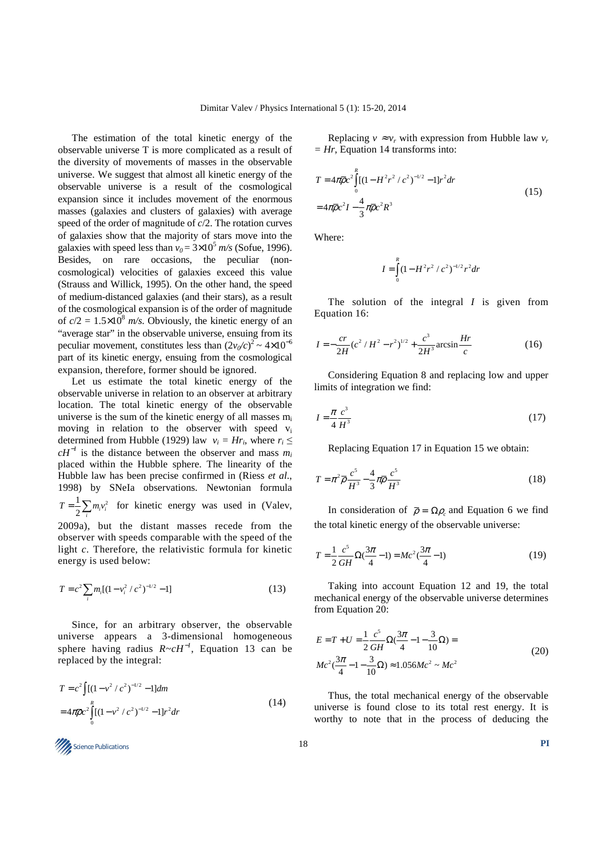The estimation of the total kinetic energy of the observable universe T is more complicated as a result of the diversity of movements of masses in the observable universe. We suggest that almost all kinetic energy of the observable universe is a result of the cosmological expansion since it includes movement of the enormous masses (galaxies and clusters of galaxies) with average speed of the order of magnitude of *c*/2. The rotation curves of galaxies show that the majority of stars move into the galaxies with speed less than  $v_0 = 3 \times 10^5$  m/s (Sofue, 1996). Besides, on rare occasions, the peculiar (noncosmological) velocities of galaxies exceed this value (Strauss and Willick, 1995). On the other hand, the speed of medium-distanced galaxies (and their stars), as a result of the cosmological expansion is of the order of magnitude of  $c/2 = 1.5 \times 10^8$  *m/s*. Obviously, the kinetic energy of an "average star" in the observable universe, ensuing from its peculiar movement, constitutes less than  $(2v_0/c)^2 \sim 4 \times 10^{-6}$ part of its kinetic energy, ensuing from the cosmological expansion, therefore, former should be ignored.

Let us estimate the total kinetic energy of the observable universe in relation to an observer at arbitrary location. The total kinetic energy of the observable universe is the sum of the kinetic energy of all masses  $m_i$ moving in relation to the observer with speed  $v_i$ determined from Hubble (1929) law  $v_i = Hr_i$ , where  $r_i \leq$  $cH^{-1}$  is the distance between the observer and mass  $m_i$ placed within the Hubble sphere. The linearity of the Hubble law has been precise confirmed in (Riess *et al*., 1998) by SNeIa observations. Newtonian formula  $1\sum$ <sub>m</sub><sup>2</sup>  $T = \frac{1}{2} \sum_{i} m_i v_i^2$  for kinetic energy was used in (Valev, *i* 2009a), but the distant masses recede from the observer with speeds comparable with the speed of the light *c*. Therefore, the relativistic formula for kinetic energy is used below:

$$
T = c^2 \sum_{i} m_i [(1 - v_i^2 / c^2)^{-1/2} - 1]
$$
\n(13)

Since, for an arbitrary observer, the observable universe appears a 3-dimensional homogeneous sphere having radius  $R \sim cH^{-1}$ , Equation 13 can be replaced by the integral:

$$
T = c2 \int [(1 - v2 / c2)-1/2 - 1] dm
$$
  
=  $4\pi \overline{\rho} c2 \int_{0}^{R} [(1 - v2 / c2)-1/2 - 1] r2 dr$  (14)

Replacing  $v \approx v_r$  with expression from Hubble law  $v_r$ *= Hr*, Equation 14 transforms into:

$$
T = 4\pi \overline{\rho} c^2 \int_0^R [(1 - H^2 r^2 / c^2)^{-1/2} - 1] r^2 dr
$$
  
=  $4\pi \overline{\rho} c^2 I - \frac{4}{3} \pi \overline{\rho} c^2 R^3$  (15)

Where:

$$
I = \int_{0}^{R} (1 - H^2 r^2 / c^2)^{-1/2} r^2 dr
$$

The solution of the integral *I* is given from Equation 16:

$$
I = -\frac{cr}{2H}(c^2/H^2 - r^2)^{1/2} + \frac{c^3}{2H^3}\arcsin\frac{Hr}{c}
$$
 (16)

Considering Equation 8 and replacing low and upper limits of integration we find:

$$
I = \frac{\pi \ c^3}{4 \ H^3} \tag{17}
$$

Replacing Equation 17 in Equation 15 we obtain:

$$
T = \pi^2 \overline{\rho} \frac{c^5}{H^3} - \frac{4}{3} \pi \overline{\rho} \frac{c^5}{H^3}
$$
 (18)

In consideration of  $\bar{\rho} = \Omega \rho_c$  and Equation 6 we find the total kinetic energy of the observable universe:

$$
T = \frac{1}{2} \frac{c^5}{GH} \Omega(\frac{3\pi}{4} - 1) = Mc^2(\frac{3\pi}{4} - 1)
$$
 (19)

Taking into account Equation 12 and 19, the total mechanical energy of the observable universe determines from Equation 20:

$$
E = T + U = \frac{1}{2} \frac{c^5}{GH} \Omega \left( \frac{3\pi}{4} - 1 - \frac{3}{10} \Omega \right) =
$$
  

$$
Mc^2 \left( \frac{3\pi}{4} - 1 - \frac{3}{10} \Omega \right) \approx 1.056 Mc^2 \sim Mc^2
$$
 (20)

Thus, the total mechanical energy of the observable universe is found close to its total rest energy. It is worthy to note that in the process of deducing the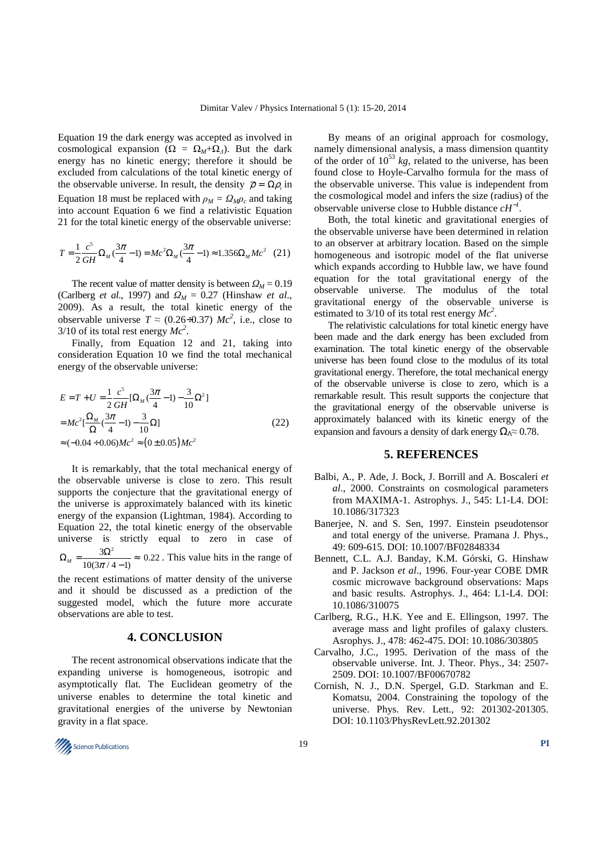Equation 19 the dark energy was accepted as involved in cosmological expansion ( $\Omega = \Omega_M + \Omega_A$ ). But the dark energy has no kinetic energy; therefore it should be excluded from calculations of the total kinetic energy of the observable universe. In result, the density  $\bar{\rho} = \Omega \rho_c$  in Equation 18 must be replaced with  $\rho_M = \Omega_M \rho_c$  and taking into account Equation 6 we find a relativistic Equation 21 for the total kinetic energy of the observable universe:

$$
T = \frac{1}{2} \frac{c^5}{GH} \Omega_M (\frac{3\pi}{4} - 1) = Mc^2 \Omega_M (\frac{3\pi}{4} - 1) \approx 1.356 \Omega_M Mc^2 \quad (21)
$$

The recent value of matter density is between  $Q_M = 0.19$ (Carlberg *et al*., 1997) and *ΩM* = 0.27 (Hinshaw *et al*., 2009). As a result, the total kinetic energy of the observable universe  $T \approx (0.26 \div 0.37)$   $Mc^2$ , i.e., close to  $3/10$  of its total rest energy  $Mc^2$ .

Finally, from Equation 12 and 21, taking into consideration Equation 10 we find the total mechanical energy of the observable universe:

$$
E = T + U = \frac{1}{2} \frac{c^5}{GH} [\Omega_M (\frac{3\pi}{4} - 1) - \frac{3}{10} \Omega^2]
$$
  
=  $Mc^2 [\frac{\Omega_M}{\Omega} (\frac{3\pi}{4} - 1) - \frac{3}{10} \Omega]$   
 $\approx (-0.04 \div 0.06) Mc^2 \approx (0 \pm 0.05) Mc^2$  (22)

It is remarkably, that the total mechanical energy of the observable universe is close to zero. This result supports the conjecture that the gravitational energy of the universe is approximately balanced with its kinetic energy of the expansion (Lightman, 1984). According to Equation 22, the total kinetic energy of the observable universe is strictly equal to zero in case of  $M = \frac{3\Omega^2}{10(3\pi/4 - 1)} \approx 0.22$  $\Omega_M = \frac{3\Omega^2}{10(3\pi/4 - 1)} \approx 0.22$ . This value hits in the range of

the recent estimations of matter density of the universe and it should be discussed as a prediction of the suggested model, which the future more accurate observations are able to test.

### **4. CONCLUSION**

The recent astronomical observations indicate that the expanding universe is homogeneous, isotropic and asymptotically flat. The Euclidean geometry of the universe enables to determine the total kinetic and gravitational energies of the universe by Newtonian gravity in a flat space.

By means of an original approach for cosmology, namely dimensional analysis, a mass dimension quantity of the order of  $10^{53}$  kg, related to the universe, has been found close to Hoyle-Carvalho formula for the mass of the observable universe. This value is independent from the cosmological model and infers the size (radius) of the observable universe close to Hubble distance *cH*−*<sup>1</sup>* .

Both, the total kinetic and gravitational energies of the observable universe have been determined in relation to an observer at arbitrary location. Based on the simple homogeneous and isotropic model of the flat universe which expands according to Hubble law, we have found equation for the total gravitational energy of the observable universe. The modulus of the total gravitational energy of the observable universe is estimated to 3/10 of its total rest energy  $Mc^2$ .

The relativistic calculations for total kinetic energy have been made and the dark energy has been excluded from examination. The total kinetic energy of the observable universe has been found close to the modulus of its total gravitational energy. Therefore, the total mechanical energy of the observable universe is close to zero, which is a remarkable result. This result supports the conjecture that the gravitational energy of the observable universe is approximately balanced with its kinetic energy of the expansion and favours a density of dark energy  $\Omega_0 \approx 0.78$ .

#### **5. REFERENCES**

- Balbi, A., P. Ade, J. Bock, J. Borrill and A. Boscaleri *et al*., 2000. Constraints on cosmological parameters from MAXIMA-1. Astrophys. J., 545: L1-L4. DOI: 10.1086/317323
- Banerjee, N. and S. Sen, 1997. Einstein pseudotensor and total energy of the universe. Pramana J. Phys., 49: 609-615. DOI: 10.1007/BF02848334
- Bennett, C.L. A.J. Banday, K.M. Górski, G. Hinshaw and P. Jackson *et al*., 1996. Four-year COBE DMR cosmic microwave background observations: Maps and basic results. Astrophys. J., 464: L1-L4. DOI: 10.1086/310075
- Carlberg, R.G., H.K. Yee and E. Ellingson, 1997. The average mass and light profiles of galaxy clusters. Asrophys. J., 478: 462-475. DOI: 10.1086/303805
- Carvalho, J.C., 1995. Derivation of the mass of the observable universe. Int. J. Theor. Phys., 34: 2507- 2509. DOI: 10.1007/BF00670782
- Cornish, N. J., D.N. Spergel, G.D. Starkman and E. Komatsu, 2004. Constraining the topology of the universe. Phys. Rev. Lett., 92: 201302-201305. DOI: 10.1103/PhysRevLett.92.201302